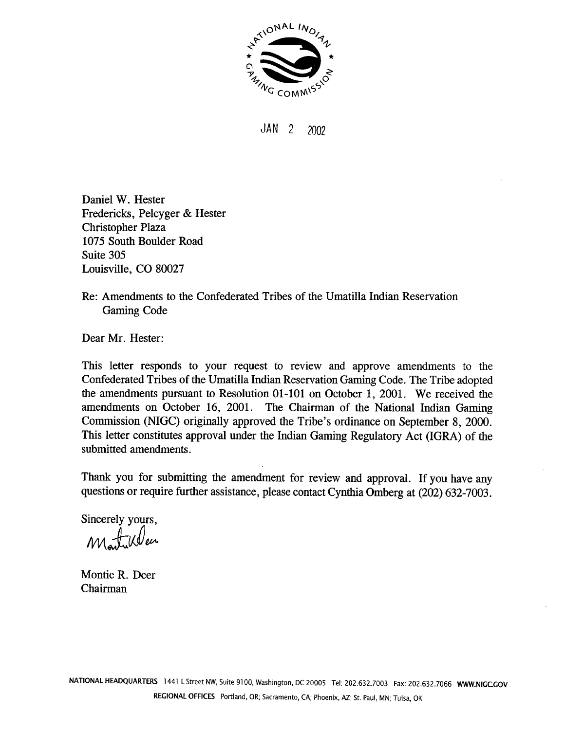

 $JAN$  2 2002

Daniel W. Hester Fredericks, Pelcyger & Hester Christopher Plaza 1075 South Boulder Road Suite 305 Louisville, CO 80027

Re: Amendments to the Confederated Tribes of the Umatilla Indian Reservation Gaming Code

Dear Mr. Hester:

This letter responds to your request to review and approve amendments to the Confederated Tribes of the Umatilla Indian Reservation Gaming Code. The Tribe adopted the amendments pursuant to Resolution 01-101 on October 1, 2001. We received the amendments on October 16, 2001. The Chairman of the National Indian Gaming Commission (NIGC) originally approved the Tribe's ordinance on September 8, 2000. This letter constitutes approval under the Indian Gaming Regulatory Act (IGRA) of the submitted amendments.

Thank you for submitting the amendment for review and approval. If you have any questions or require further assistance, please contact Cynthia Omberg at (202) 632-7003.

Sincerely yours,

Martinleen

Montie R. Deer Chairman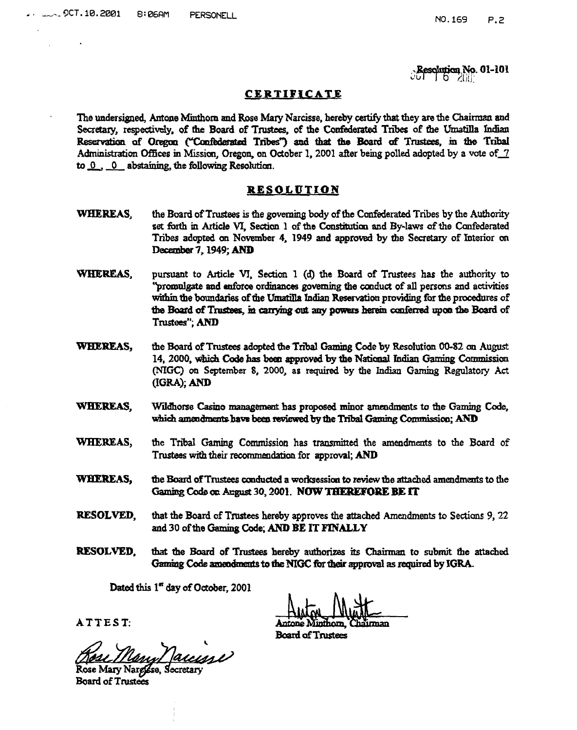**Resolution No. 01-101** 

## CERTIFICATE

The undersigned, Antone Minthorn and Rose Mary Narcisse, hereby certify that they are the Chairman and Secretary, respectively, of the Board of Trustees, of the Confederated Tribes of the Umatilla Indian Reservation of Oregon ("Confederated Tribes") and that the Board of Trustees, in the Tribal Administration Offices in Mission, Oregon, on October 1, 2001 after being polled adopted by a vote of 7 to  $0$ , 0 abstaining, the following Resolution.

## RESOLUTION

- WHEREAS. the Board of Trustees is the governing body of the Confederated Tribes by the Authority set forth in Article VI. Section 1 of the Constitution and By-laws of the Confederated Tribes adopted on November 4, 1949 and approved by the Secretary of Interior on December 7, 1949; AND
- WHEREAS, pursuant to Article VI, Section 1 (d) the Board of Trustees has the authority to "promulgate and enforce ordinances governing the conduct of all persons and activities within the boundaries of the Umatilla Indian Reservation providing for the procedures of the Board of Trustees, in carrying out any powers herein conferred upon the Board of Trustees": AND
- **WHEREAS.** the Board of Trustees adopted the Tribal Gaming Code by Resolution 00-82 on August 14, 2000, which Code has been approved by the National Indian Gaming Commission (NIGC) on September 8, 2000, as required by the Indian Gaming Regulatory Act (IGRA); AND
- **WHEREAS.** Wildhorse Casino management has proposed minor amendments to the Gaming Code. which amendments have been reviewed by the Tribal Gaming Commission; AND
- WHEREAS, the Tribal Gaming Commission has transmitted the amendments to the Board of Trustees with their recommendation for approval: AND
- WHEREAS, the Board of Trustees conducted a worksession to review the attached amendments to the Gaming Code on Angust 30, 2001. NOW THEREFORE BE IT
- **RESOLVED,** that the Board of Trustees hereby approves the attached Amendments to Sections 9, 22 and 30 of the Gaming Code; AND BE IT FINALLY
- **RESOLVED,** that the Board of Trustees hereby authorizes its Chairman to submit the attached Gaming Code amendments to the NIGC for their approval as required by IGRA.

Dated this 1" day of October, 2001

**Board of Trustees** 

Rese Many Maccione

ATTEST:

**Board of Trustees**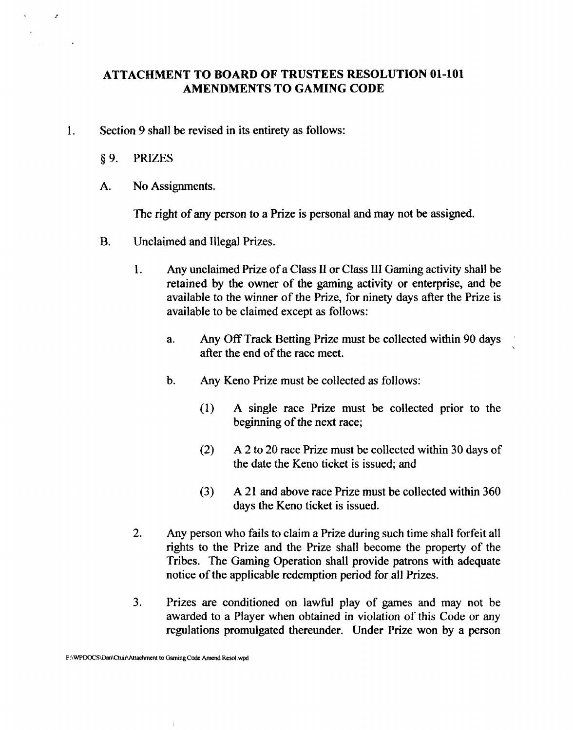## **ATTACHMENT TO BOARD OF TRUSTEES RESOLUTION 01-101 AMENDMENTS TO GAMING CODE**

- **1.** Section 9 shall be revised in its entirety as follows:
	- §9. PRIZES

 $\overline{z}$ 

A. No Assignments.

The right of any person to a Prize is personal and may not be assigned.

- B. Unclaimed and Illegal Prizes.
	- **1.** Any unclaimed Prize of a Class **II** or Class **LII** Gaming activity shall be retained by the owner of the gaming activity or enterprise, and be available to the winner of the Prize, for ninety days after the Prize is available to be claimed except as follows:
		- a. Any Off Track Betting Prize must be collected within 90 days . after the end of the race meet.
		- b. Any Keno Prize must be collected as follows:
			- (1) A single race Prize must be collected prior to the beginning of the next race;
			- *(2)* A 2 to 20 race Prize must be collected within 30 days of the date the Keno ticket is issued; and
			- **(3) A** 21 and above race Prize must be collected within 360 days the Keno ticket is issued.
	- 2. Any person who fails to claim a Prize during such time shall forfeit all rights to the Prize and the Prize shall become the property of the Tribes. The Gaming Operation shall provide patrons with adequate notice of the applicable redemption period for all Prizes.
	- **3.** Prizes are conditioned on lawful play of games and may not be awarded to a Player when obtained in violation of this Code or any regulations promulgated thereunder. Under Prize won by a person

 $\hat{I}$